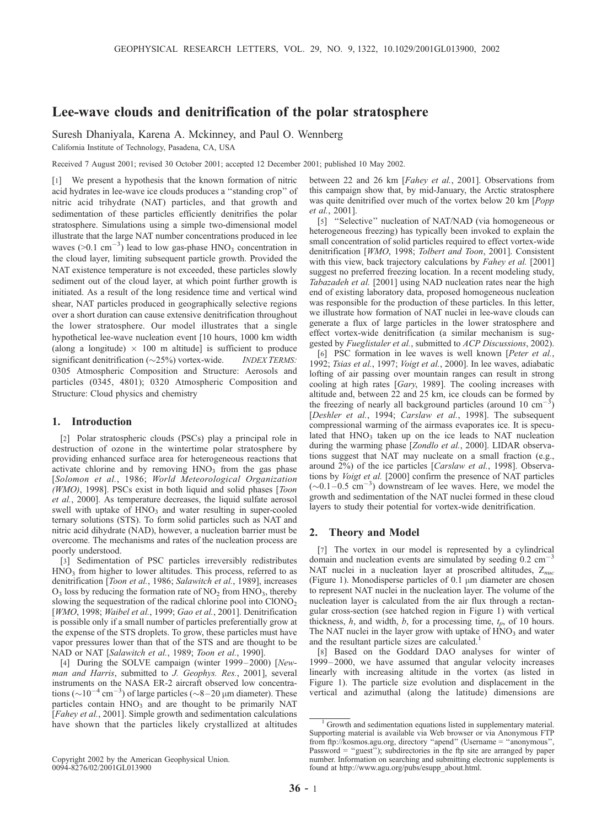# Lee-wave clouds and denitrification of the polar stratosphere

Suresh Dhaniyala, Karena A. Mckinney, and Paul O. Wennberg

California Institute of Technology, Pasadena, CA, USA

Received 7 August 2001; revised 30 October 2001; accepted 12 December 2001; published 10 May 2002.

[1] We present a hypothesis that the known formation of nitric acid hydrates in lee-wave ice clouds produces a ''standing crop'' of nitric acid trihydrate (NAT) particles, and that growth and sedimentation of these particles efficiently denitrifies the polar stratosphere. Simulations using a simple two-dimensional model illustrate that the large NAT number concentrations produced in lee waves ( $>0.1$  cm<sup>-3</sup>) lead to low gas-phase HNO<sub>3</sub> concentration in the cloud layer, limiting subsequent particle growth. Provided the NAT existence temperature is not exceeded, these particles slowly sediment out of the cloud layer, at which point further growth is initiated. As a result of the long residence time and vertical wind shear, NAT particles produced in geographically selective regions over a short duration can cause extensive denitrification throughout the lower stratosphere. Our model illustrates that a single hypothetical lee-wave nucleation event [10 hours, 1000 km width (along a longitude)  $\times$  100 m altitude] is sufficient to produce significant denitrification ( $\sim$ 25%) vortex-wide. INDEX TERMS: 0305 Atmospheric Composition and Structure: Aerosols and particles (0345, 4801); 0320 Atmospheric Composition and Structure: Cloud physics and chemistry

### 1. Introduction

[2] Polar stratospheric clouds (PSCs) play a principal role in destruction of ozone in the wintertime polar stratosphere by providing enhanced surface area for heterogeneous reactions that activate chlorine and by removing  $HNO<sub>3</sub>$  from the gas phase [Solomon et al., 1986; World Meteorological Organization  $(WMO)$ , 1998]. PSCs exist in both liquid and solid phases [*Toon* et al., 2000]. As temperature decreases, the liquid sulfate aerosol swell with uptake of  $HNO<sub>3</sub>$  and water resulting in super-cooled ternary solutions (STS). To form solid particles such as NAT and nitric acid dihydrate (NAD), however, a nucleation barrier must be overcome. The mechanisms and rates of the nucleation process are poorly understood.

[3] Sedimentation of PSC particles irreversibly redistributes HNO<sub>3</sub> from higher to lower altitudes. This process, referred to as denitrification [Toon et al., 1986; Salawitch et al., 1989], increases  $O_3$  loss by reducing the formation rate of  $NO_2$  from  $HNO_3$ , thereby slowing the sequestration of the radical chlorine pool into ClONO<sub>2</sub> [WMO, 1998; Waibel et al., 1999; Gao et al., 2001]. Denitrification is possible only if a small number of particles preferentially grow at the expense of the STS droplets. To grow, these particles must have vapor pressures lower than that of the STS and are thought to be NAD or NAT [Salawitch et al., 1989; Toon et al., 1990].

[4] During the SOLVE campaign (winter 1999-2000) [Newman and Harris, submitted to J. Geophys. Res., 2001], several instruments on the NASA ER-2 aircraft observed low concentrations ( $\sim$ 10<sup>-4</sup> cm<sup>-3</sup>) of large particles ( $\sim$ 8-20 µm diameter). These particles contain  $HNO<sub>3</sub>$  and are thought to be primarily NAT [Fahey et al., 2001]. Simple growth and sedimentation calculations have shown that the particles likely crystallized at altitudes

Copyright 2002 by the American Geophysical Union. 0094-8276/02/2001GL013900

between 22 and 26 km [Fahey et al., 2001]. Observations from this campaign show that, by mid-January, the Arctic stratosphere was quite denitrified over much of the vortex below 20 km [Popp et al., 2001].

[5] "Selective" nucleation of NAT/NAD (via homogeneous or heterogeneous freezing) has typically been invoked to explain the small concentration of solid particles required to effect vortex-wide denitrification [WMO, 1998; Tolbert and Toon, 2001]. Consistent with this view, back trajectory calculations by Fahey et al. [2001] suggest no preferred freezing location. In a recent modeling study, Tabazadeh et al. [2001] using NAD nucleation rates near the high end of existing laboratory data, proposed homogeneous nucleation was responsible for the production of these particles. In this letter, we illustrate how formation of NAT nuclei in lee-wave clouds can generate a flux of large particles in the lower stratosphere and effect vortex-wide denitrification (a similar mechanism is suggested by Fueglistaler et al., submitted to ACP Discussions, 2002).

[6] PSC formation in lee waves is well known [Peter et al., 1992; Tsias et al., 1997; Voigt et al., 2000]. In lee waves, adiabatic lofting of air passing over mountain ranges can result in strong cooling at high rates [Gary, 1989]. The cooling increases with altitude and, between 22 and 25 km, ice clouds can be formed by the freezing of nearly all background particles (around 10  $\text{cm}^{-3}$ ) [Deshler et al., 1994; Carslaw et al., 1998]. The subsequent compressional warming of the airmass evaporates ice. It is speculated that  $HNO<sub>3</sub>$  taken up on the ice leads to NAT nucleation during the warming phase [Zondlo et al., 2000]. LIDAR observations suggest that NAT may nucleate on a small fraction (e.g., around 2%) of the ice particles [Carslaw et al., 1998]. Observations by Voigt et al. [2000] confirm the presence of NAT particles  $(\sim 0.1 - 0.5$  cm<sup>-3</sup>) downstream of lee waves. Here, we model the growth and sedimentation of the NAT nuclei formed in these cloud layers to study their potential for vortex-wide denitrification.

### 2. Theory and Model

[7] The vortex in our model is represented by a cylindrical domain and nucleation events are simulated by seeding  $0.2 \text{ cm}^{-3}$ NAT nuclei in a nucleation layer at proscribed altitudes,  $Z_{nuc}$ (Figure 1). Monodisperse particles of  $0.1 \mu m$  diameter are chosen to represent NAT nuclei in the nucleation layer. The volume of the nucleation layer is calculated from the air flux through a rectangular cross-section (see hatched region in Figure 1) with vertical thickness,  $h$ , and width,  $b$ , for a processing time,  $t_p$ , of 10 hours. The NAT nuclei in the layer grow with uptake of  $HNO<sub>3</sub>$  and water and the resultant particle sizes are calculated.<sup>1</sup>

[8] Based on the Goddard DAO analyses for winter of 1999 – 2000, we have assumed that angular velocity increases linearly with increasing altitude in the vortex (as listed in Figure 1). The particle size evolution and displacement in the vertical and azimuthal (along the latitude) dimensions are

<sup>&</sup>lt;sup>1</sup> Growth and sedimentation equations listed in supplementary material. Supporting material is available via Web browser or via Anonymous FTP from ftp://kosmos.agu.org, directory "apend" (Username = "anonymous", Password = "guest"); subdirectories in the ftp site are arranged by paper number. Information on searching and submitting electronic supplements is found at http://www.agu.org/pubs/esupp\_about.html.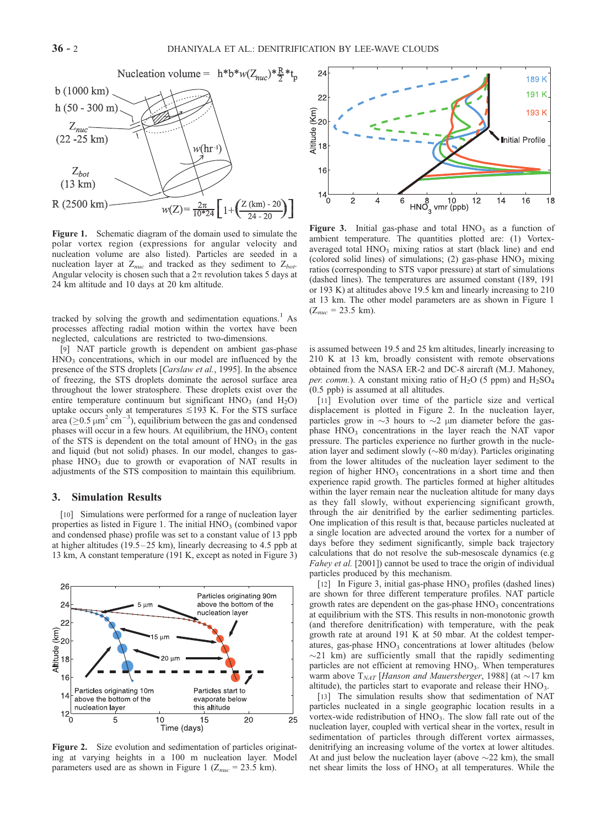

Figure 1. Schematic diagram of the domain used to simulate the polar vortex region (expressions for angular velocity and nucleation volume are also listed). Particles are seeded in a nucleation layer at  $Z_{nuc}$  and tracked as they sediment to  $Z_{bot}$ . Angular velocity is chosen such that a  $2\pi$  revolution takes 5 days at 24 km altitude and 10 days at 20 km altitude.

tracked by solving the growth and sedimentation equations.<sup>1</sup> As processes affecting radial motion within the vortex have been neglected, calculations are restricted to two-dimensions.

[9] NAT particle growth is dependent on ambient gas-phase  $HNO<sub>3</sub>$  concentrations, which in our model are influenced by the presence of the STS droplets [Carslaw et al., 1995]. In the absence of freezing, the STS droplets dominate the aerosol surface area throughout the lower stratosphere. These droplets exist over the entire temperature continuum but significant  $HNO<sub>3</sub>$  (and  $H<sub>2</sub>O$ ) uptake occurs only at temperatures  $\leq 193$  K. For the STS surface area ( $\geq$ 0.5  $\mu$ m<sup>2</sup> cm<sup>-3</sup>), equilibrium between the gas and condensed phases will occur in a few hours. At equilibrium, the  $HNO<sub>3</sub>$  content of the STS is dependent on the total amount of  $HNO<sub>3</sub>$  in the gas and liquid (but not solid) phases. In our model, changes to gasphase HNO<sub>3</sub> due to growth or evaporation of NAT results in adjustments of the STS composition to maintain this equilibrium.

## 3. Simulation Results

[10] Simulations were performed for a range of nucleation layer properties as listed in Figure 1. The initial  $HNO<sub>3</sub>$  (combined vapor and condensed phase) profile was set to a constant value of 13 ppb at higher altitudes (19.5 – 25 km), linearly decreasing to 4.5 ppb at 13 km, A constant temperature (191 K, except as noted in Figure 3)



Figure 2. Size evolution and sedimentation of particles originating at varying heights in a 100 m nucleation layer. Model parameters used are as shown in Figure 1 ( $Z_{nuc}$  = 23.5 km).



Figure 3. Initial gas-phase and total  $HNO<sub>3</sub>$  as a function of ambient temperature. The quantities plotted are: (1) Vortexaveraged total  $HNO<sub>3</sub>$  mixing ratios at start (black line) and end (colored solid lines) of simulations; (2) gas-phase  $HNO<sub>3</sub>$  mixing ratios (corresponding to STS vapor pressure) at start of simulations (dashed lines). The temperatures are assumed constant (189, 191 or 193 K) at altitudes above 19.5 km and linearly increasing to 210 at 13 km. The other model parameters are as shown in Figure 1  $(Z_{nuc} = 23.5$  km).

is assumed between 19.5 and 25 km altitudes, linearly increasing to 210 K at 13 km, broadly consistent with remote observations obtained from the NASA ER-2 and DC-8 aircraft (M.J. Mahoney, per. comm.). A constant mixing ratio of  $H_2O$  (5 ppm) and  $H_2SO_4$ (0.5 ppb) is assumed at all altitudes.

[11] Evolution over time of the particle size and vertical displacement is plotted in Figure 2. In the nucleation layer, particles grow in  $\sim$ 3 hours to  $\sim$ 2  $\mu$ m diameter before the gasphase  $HNO<sub>3</sub>$  concentrations in the layer reach the NAT vapor pressure. The particles experience no further growth in the nucleation layer and sediment slowly ( $\sim$ 80 m/day). Particles originating from the lower altitudes of the nucleation layer sediment to the region of higher  $HNO<sub>3</sub>$  concentrations in a short time and then experience rapid growth. The particles formed at higher altitudes within the layer remain near the nucleation altitude for many days as they fall slowly, without experiencing significant growth, through the air denitrified by the earlier sedimenting particles. One implication of this result is that, because particles nucleated at a single location are advected around the vortex for a number of days before they sediment significantly, simple back trajectory calculations that do not resolve the sub-mesoscale dynamics (e.g Fahey et al. [2001]) cannot be used to trace the origin of individual particles produced by this mechanism.

[12] In Figure 3, initial gas-phase  $HNO<sub>3</sub>$  profiles (dashed lines) are shown for three different temperature profiles. NAT particle growth rates are dependent on the gas-phase  $HNO<sub>3</sub>$  concentrations at equilibrium with the STS. This results in non-monotonic growth (and therefore denitrification) with temperature, with the peak growth rate at around 191 K at 50 mbar. At the coldest temperatures, gas-phase  $HNO<sub>3</sub>$  concentrations at lower altitudes (below  $\sim$ 21 km) are sufficiently small that the rapidly sedimenting particles are not efficient at removing  $HNO<sub>3</sub>$ . When temperatures warm above  $T_{NAT}$  [Hanson and Mauersberger, 1988] (at  $\sim$ 17 km altitude), the particles start to evaporate and release their  $HNO<sub>3</sub>$ .

[13] The simulation results show that sedimentation of NAT particles nucleated in a single geographic location results in a vortex-wide redistribution of  $HNO<sub>3</sub>$ . The slow fall rate out of the nucleation layer, coupled with vertical shear in the vortex, result in sedimentation of particles through different vortex airmasses, denitrifying an increasing volume of the vortex at lower altitudes. At and just below the nucleation layer (above  $\sim$ 22 km), the small net shear limits the loss of  $HNO<sub>3</sub>$  at all temperatures. While the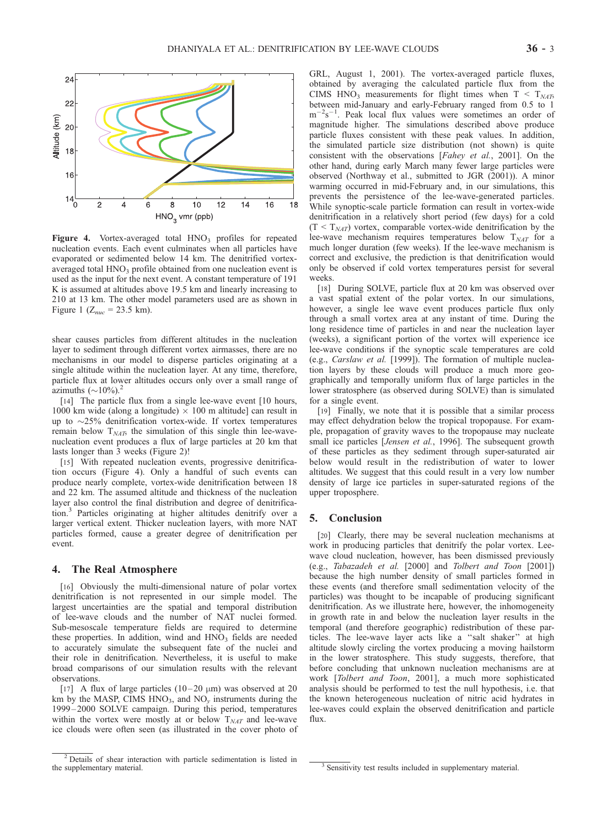

Figure 4. Vortex-averaged total  $HNO<sub>3</sub>$  profiles for repeated nucleation events. Each event culminates when all particles have evaporated or sedimented below 14 km. The denitrified vortexaveraged total  $HNO<sub>3</sub>$  profile obtained from one nucleation event is used as the input for the next event. A constant temperature of 191 K is assumed at altitudes above 19.5 km and linearly increasing to 210 at 13 km. The other model parameters used are as shown in Figure 1 ( $Z_{nuc}$  = 23.5 km).

shear causes particles from different altitudes in the nucleation layer to sediment through different vortex airmasses, there are no mechanisms in our model to disperse particles originating at a single altitude within the nucleation layer. At any time, therefore, particle flux at lower altitudes occurs only over a small range of azimuths  $(\sim 10\%)$ .

[14] The particle flux from a single lee-wave event [10 hours, 1000 km wide (along a longitude)  $\times$  100 m altitude] can result in up to  $\sim$ 25% denitrification vortex-wide. If vortex temperatures remain below  $T<sub>NAT</sub>$ , the simulation of this single thin lee-wavenucleation event produces a flux of large particles at 20 km that lasts longer than 3 weeks (Figure 2)!

[15] With repeated nucleation events, progressive denitrification occurs (Figure 4). Only a handful of such events can produce nearly complete, vortex-wide denitrification between 18 and 22 km. The assumed altitude and thickness of the nucleation layer also control the final distribution and degree of denitrification.<sup>3</sup> Particles originating at higher altitudes denitrify over a larger vertical extent. Thicker nucleation layers, with more NAT particles formed, cause a greater degree of denitrification per event.

#### 4. The Real Atmosphere

[16] Obviously the multi-dimensional nature of polar vortex denitrification is not represented in our simple model. The largest uncertainties are the spatial and temporal distribution of lee-wave clouds and the number of NAT nuclei formed. Sub-mesoscale temperature fields are required to determine these properties. In addition, wind and  $HNO<sub>3</sub>$  fields are needed to accurately simulate the subsequent fate of the nuclei and their role in denitrification. Nevertheless, it is useful to make broad comparisons of our simulation results with the relevant observations.

[17] A flux of large particles  $(10-20 \mu m)$  was observed at 20 km by the MASP, CIMS  $HNO<sub>3</sub>$ , and  $NO<sub>v</sub>$  instruments during the 1999 – 2000 SOLVE campaign. During this period, temperatures within the vortex were mostly at or below  $T<sub>NAT</sub>$  and lee-wave ice clouds were often seen (as illustrated in the cover photo of

GRL, August 1, 2001). The vortex-averaged particle fluxes, obtained by averaging the calculated particle flux from the CIMS HNO<sub>3</sub> measurements for flight times when  $T < T_{NAT}$ , between mid-January and early-February ranged from 0.5 to 1  $m^{-2}s^{-1}$ . Peak local flux values were sometimes an order of magnitude higher. The simulations described above produce particle fluxes consistent with these peak values. In addition, the simulated particle size distribution (not shown) is quite consistent with the observations [Fahey et al., 2001]. On the other hand, during early March many fewer large particles were observed (Northway et al., submitted to JGR (2001)). A minor warming occurred in mid-February and, in our simulations, this prevents the persistence of the lee-wave-generated particles. While synoptic-scale particle formation can result in vortex-wide denitrification in a relatively short period (few days) for a cold  $(T < T<sub>NAT</sub>)$  vortex, comparable vortex-wide denitrification by the lee-wave mechanism requires temperatures below  $T_{NAT}$  for a much longer duration (few weeks). If the lee-wave mechanism is correct and exclusive, the prediction is that denitrification would only be observed if cold vortex temperatures persist for several weeks.

[18] During SOLVE, particle flux at 20 km was observed over a vast spatial extent of the polar vortex. In our simulations, however, a single lee wave event produces particle flux only through a small vortex area at any instant of time. During the long residence time of particles in and near the nucleation layer (weeks), a significant portion of the vortex will experience ice lee-wave conditions if the synoptic scale temperatures are cold (e.g., Carslaw et al. [1999]). The formation of multiple nucleation layers by these clouds will produce a much more geographically and temporally uniform flux of large particles in the lower stratosphere (as observed during SOLVE) than is simulated for a single event.

[19] Finally, we note that it is possible that a similar process may effect dehydration below the tropical tropopause. For example, propagation of gravity waves to the tropopause may nucleate small ice particles [Jensen et al., 1996]. The subsequent growth of these particles as they sediment through super-saturated air below would result in the redistribution of water to lower altitudes. We suggest that this could result in a very low number density of large ice particles in super-saturated regions of the upper troposphere.

## 5. Conclusion

[20] Clearly, there may be several nucleation mechanisms at work in producing particles that denitrify the polar vortex. Leewave cloud nucleation, however, has been dismissed previously (e.g., Tabazadeh et al. [2000] and Tolbert and Toon [2001]) because the high number density of small particles formed in these events (and therefore small sedimentation velocity of the particles) was thought to be incapable of producing significant denitrification. As we illustrate here, however, the inhomogeneity in growth rate in and below the nucleation layer results in the temporal (and therefore geographic) redistribution of these particles. The lee-wave layer acts like a ''salt shaker'' at high altitude slowly circling the vortex producing a moving hailstorm in the lower stratosphere. This study suggests, therefore, that before concluding that unknown nucleation mechanisms are at work [Tolbert and Toon, 2001], a much more sophisticated analysis should be performed to test the null hypothesis, i.e. that the known heterogeneous nucleation of nitric acid hydrates in lee-waves could explain the observed denitrification and particle flux.

 $\frac{2 \text{ Details}}{2}$  Details of shear interaction with particle sedimentation is listed in

 $\beta$  Sensitivity test results included in supplementary material.